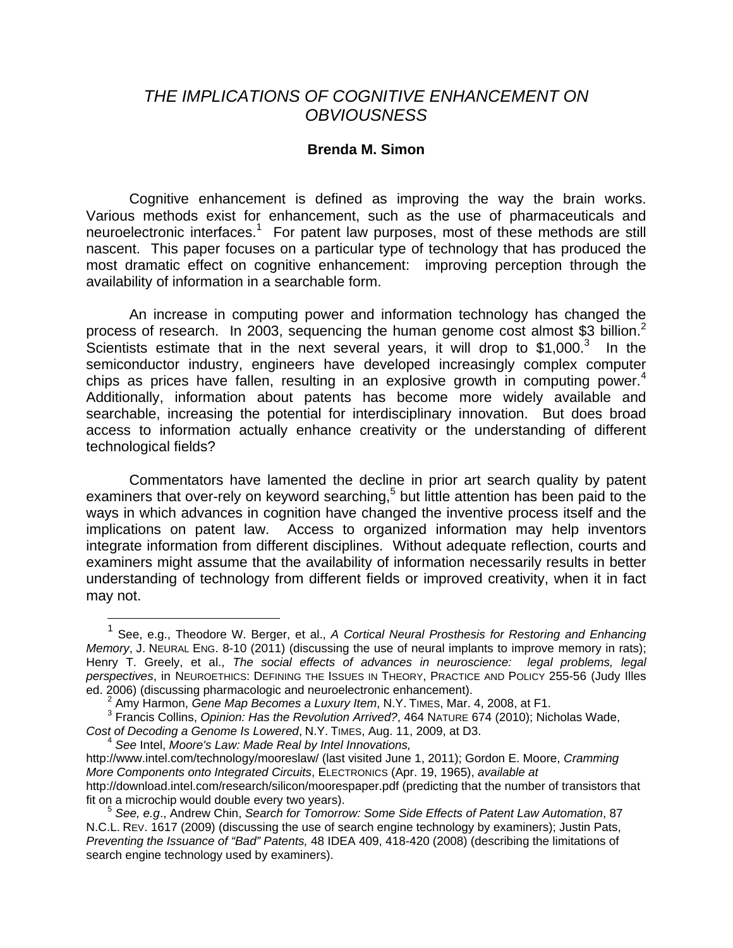## *THE IMPLICATIONS OF COGNITIVE ENHANCEMENT ON OBVIOUSNESS*

## **Brenda M. Simon**

Cognitive enhancement is defined as improving the way the brain works. Various methods exist for enhancement, such as the use of pharmaceuticals and neuroelectronic interfaces.<sup>1</sup> For patent law purposes, most of these methods are still nascent. This paper focuses on a particular type of technology that has produced the most dramatic effect on cognitive enhancement: improving perception through the availability of information in a searchable form.

An increase in computing power and information technology has changed the process of research. In 2003, sequencing the human genome cost almost \$3 billion.<sup>2</sup> Scientists estimate that in the next several years, it will drop to  $$1,000$ .<sup>3</sup> In the semiconductor industry, engineers have developed increasingly complex computer chips as prices have fallen, resulting in an explosive growth in computing power.<sup>4</sup> Additionally, information about patents has become more widely available and searchable, increasing the potential for interdisciplinary innovation. But does broad access to information actually enhance creativity or the understanding of different technological fields?

Commentators have lamented the decline in prior art search quality by patent examiners that over-rely on keyword searching,<sup>5</sup> but little attention has been paid to the ways in which advances in cognition have changed the inventive process itself and the implications on patent law. Access to organized information may help inventors integrate information from different disciplines. Without adequate reflection, courts and examiners might assume that the availability of information necessarily results in better understanding of technology from different fields or improved creativity, when it in fact may not.

 $\overline{a}$ 

<sup>&</sup>lt;sup>1</sup> See, e.g., Theodore W. Berger, et al., *A Cortical Neural Prosthesis for Restoring and Enhancing Memory*, J. NEURAL ENG. 8-10 (2011) (discussing the use of neural implants to improve memory in rats); Henry T. Greely, et al., *The social effects of advances in neuroscience: legal problems, legal perspectives*, in NEUROETHICS: DEFINING THE ISSUES IN THEORY, PRACTICE AND POLICY 255-56 (Judy Illes ed. 2006) (discussing pharmacologic and neuroelectronic enhancement). 2

Amy Harmon, *Gene Map Becomes a Luxury Item*, N.Y. TIMES, Mar. 4, 2008, at F1.

<sup>3</sup> Francis Collins, *Opinion: Has the Revolution Arrived?*, 464 NATURE 674 (2010); Nicholas Wade, *Cost of Decoding a Genome Is Lowered*, N.Y. TIMES, Aug. 11, 2009, at D3. 4 *See* Intel, *Moore's Law: Made Real by Intel Innovations,*

http://www.intel.com/technology/mooreslaw/ (last visited June 1, 2011); Gordon E. Moore, *Cramming More Components onto Integrated Circuits*, ELECTRONICS (Apr. 19, 1965), *available at*  http://download.intel.com/research/silicon/moorespaper.pdf (predicting that the number of transistors that fit on a microchip would double every two years). 5 *See, e.g*., Andrew Chin, *Search for Tomorrow: Some Side Effects of Patent Law Automation*, 87

N.C.L. REV. 1617 (2009) (discussing the use of search engine technology by examiners); Justin Pats, *Preventing the Issuance of "Bad" Patents,* 48 IDEA 409, 418-420 (2008) (describing the limitations of search engine technology used by examiners).